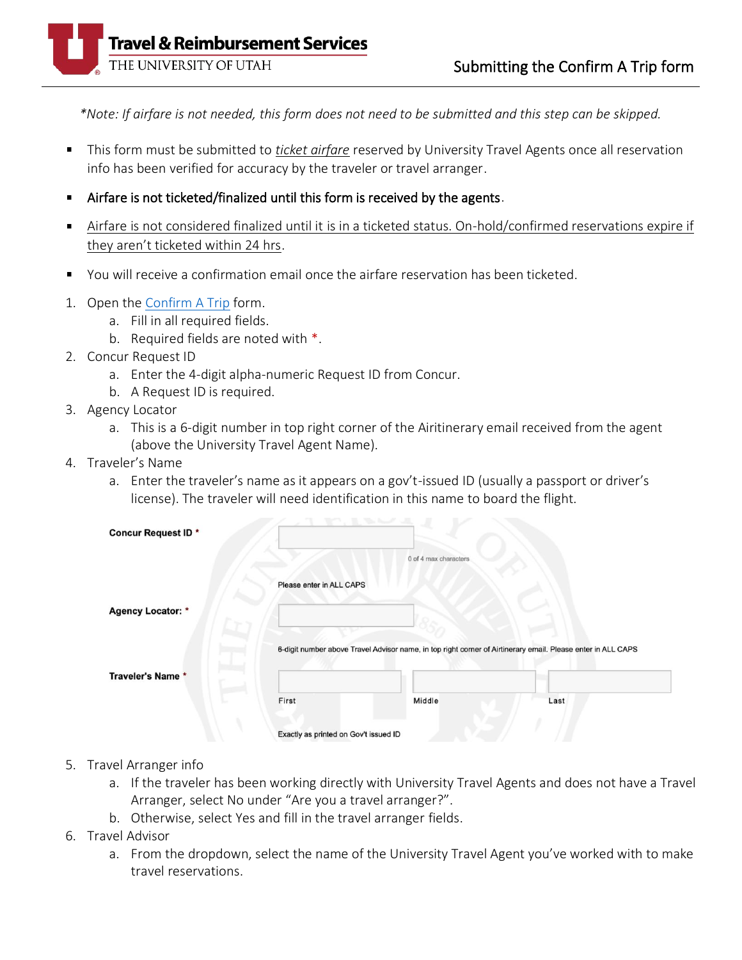

*\*Note: If airfare is not needed, this form does not need to be submitted and this step can be skipped.*

- This form must be submitted to *ticket airfare* reserved by University Travel Agents once all reservation info has been verified for accuracy by the traveler or travel arranger.
- Airfare is not ticketed/finalized until this form is received by the agents.  $\blacksquare$
- Airfare is not considered finalized until it is in a ticketed status. On-hold/confirmed reservations expire if  $\blacksquare$ they aren't ticketed within 24 hrs.
- You will receive a confirmation email once the airfare reservation has been ticketed.
- 1. Open th[e Confirm A Trip](https://fbs.admin.utah.edu/secure/internal/utravel/utravel-confirm-a-trip/) form.
	- a. Fill in all required fields.
	- b. Required fields are noted with \*.
- 2. Concur Request ID
	- a. Enter the 4-digit alpha-numeric Request ID from Concur.
	- b. A Request ID is required.
- 3. Agency Locator
	- a. This is a 6-digit number in top right corner of the Airitinerary email received from the agent (above the University Travel Agent Name).
- 4. Traveler's Name
	- a. Enter the traveler's name as it appears on a gov't-issued ID (usually a passport or driver's license). The traveler will need identification in this name to board the flight.

| <b>Concur Request ID *</b> |                                       | 0 of 4 max characters                                                                                        |      |
|----------------------------|---------------------------------------|--------------------------------------------------------------------------------------------------------------|------|
|                            | Please enter in ALL CAPS              |                                                                                                              |      |
| Agency Locator: *          |                                       |                                                                                                              |      |
| Traveler's Name *          |                                       | 6-digit number above Travel Advisor name, in top right corner of Airtinerary email. Please enter in ALL CAPS |      |
|                            | First                                 | Middle                                                                                                       | Last |
|                            | Exactly as printed on Gov't issued ID |                                                                                                              |      |

- 5. Travel Arranger info
	- a. If the traveler has been working directly with University Travel Agents and does not have a Travel Arranger, select No under "Are you a travel arranger?".
	- b. Otherwise, select Yes and fill in the travel arranger fields.
- 6. Travel Advisor
	- a. From the dropdown, select the name of the University Travel Agent you've worked with to make travel reservations.